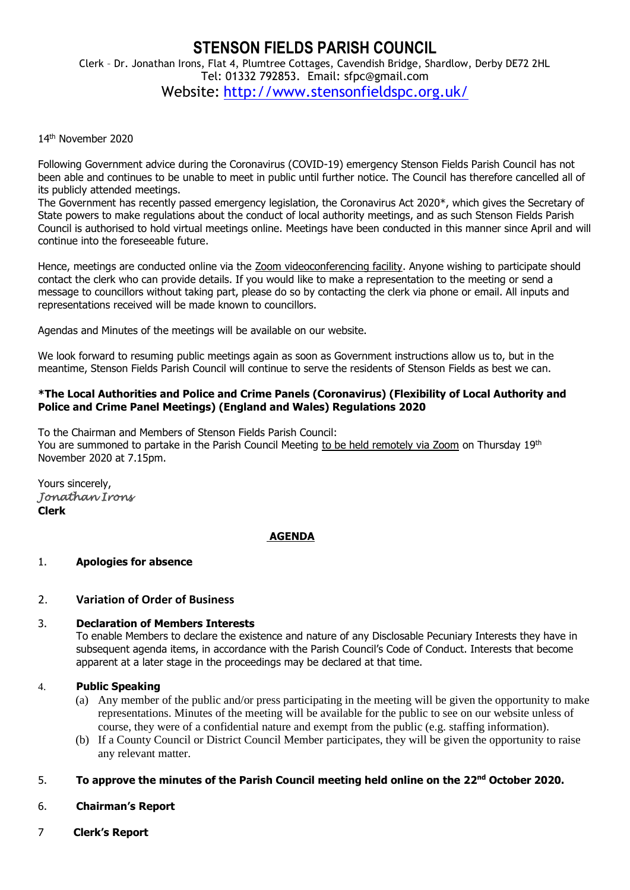# **STENSON FIELDS PARISH COUNCIL** Clerk – Dr. Jonathan Irons, Flat 4, Plumtree Cottages, Cavendish Bridge, Shardlow, Derby DE72 2HL Tel: 01332 792853. Email: sfpc@gmail.com Website: <http://www.stensonfieldspc.org.uk/>

### 14th November 2020

Following Government advice during the Coronavirus (COVID-19) emergency Stenson Fields Parish Council has not been able and continues to be unable to meet in public until further notice. The Council has therefore cancelled all of its publicly attended meetings.

The Government has recently passed emergency legislation, the Coronavirus Act 2020\*, which gives the Secretary of State powers to make regulations about the conduct of local authority meetings, and as such Stenson Fields Parish Council is authorised to hold virtual meetings online. Meetings have been conducted in this manner since April and will continue into the foreseeable future.

Hence, meetings are conducted online via the Zoom videoconferencing facility. Anyone wishing to participate should contact the clerk who can provide details. If you would like to make a representation to the meeting or send a message to councillors without taking part, please do so by contacting the clerk via phone or email. All inputs and representations received will be made known to councillors.

Agendas and Minutes of the meetings will be available on our website.

We look forward to resuming public meetings again as soon as Government instructions allow us to, but in the meantime, Stenson Fields Parish Council will continue to serve the residents of Stenson Fields as best we can.

### **\*The Local Authorities and Police and Crime Panels (Coronavirus) (Flexibility of Local Authority and Police and Crime Panel Meetings) (England and Wales) Regulations 2020**

To the Chairman and Members of Stenson Fields Parish Council: You are summoned to partake in the Parish Council Meeting to be held remotely via Zoom on Thursday 19<sup>th</sup> November 2020 at 7.15pm.

Yours sincerely, *Jonathan Irons*  **Clerk**

## **AGENDA**

## 1. **Apologies for absence**

## 2. **Variation of Order of Business**

## 3. **Declaration of Members Interests**

To enable Members to declare the existence and nature of any Disclosable Pecuniary Interests they have in subsequent agenda items, in accordance with the Parish Council's Code of Conduct. Interests that become apparent at a later stage in the proceedings may be declared at that time.

#### 4. **Public Speaking**

- (a) Any member of the public and/or press participating in the meeting will be given the opportunity to make representations. Minutes of the meeting will be available for the public to see on our website unless of course, they were of a confidential nature and exempt from the public (e.g. staffing information).
- (b) If a County Council or District Council Member participates, they will be given the opportunity to raise any relevant matter.

## 5. **To approve the minutes of the Parish Council meeting held online on the 22nd October 2020.**

- 6. **Chairman's Report**
- 7 **Clerk's Report**